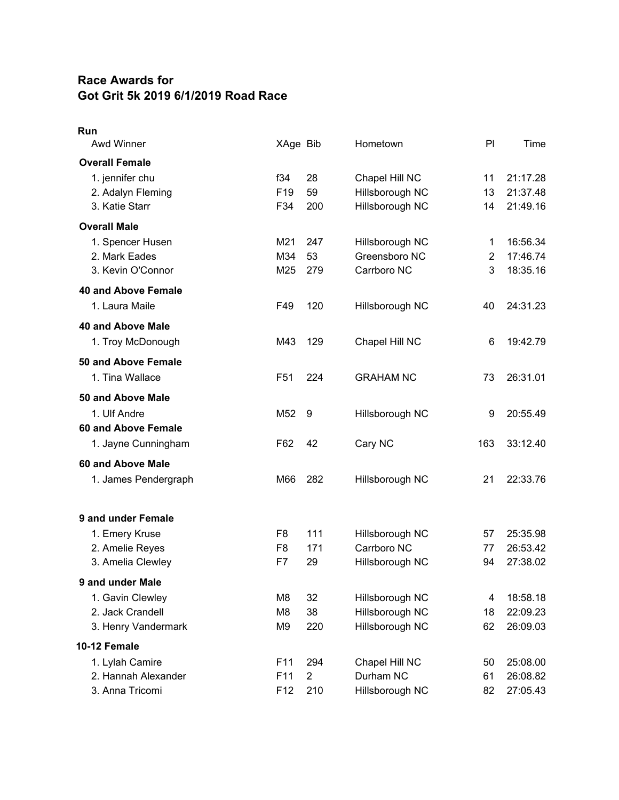## **Race Awards for Got Grit 5k 2019 6/1/2019 Road Race**

| Run<br><b>Awd Winner</b>                   | XAge Bib        |                | Hometown         | PI  | Time     |
|--------------------------------------------|-----------------|----------------|------------------|-----|----------|
| <b>Overall Female</b>                      |                 |                |                  |     |          |
| 1. jennifer chu                            | f34             | 28             | Chapel Hill NC   | 11  | 21:17.28 |
| 2. Adalyn Fleming                          | F <sub>19</sub> | 59             | Hillsborough NC  | 13  | 21:37.48 |
| 3. Katie Starr                             | F34             | 200            | Hillsborough NC  | 14  | 21:49.16 |
| <b>Overall Male</b>                        |                 |                |                  |     |          |
| 1. Spencer Husen                           | M21             | 247            | Hillsborough NC  | 1   | 16:56.34 |
| 2. Mark Eades                              | M34             | 53             | Greensboro NC    | 2   | 17:46.74 |
| 3. Kevin O'Connor                          | M25             | 279            | Carrboro NC      | 3   | 18:35.16 |
| <b>40 and Above Female</b>                 |                 |                |                  |     |          |
| 1. Laura Maile                             | F49             | 120            | Hillsborough NC  | 40  | 24:31.23 |
| <b>40 and Above Male</b>                   |                 |                |                  |     |          |
| 1. Troy McDonough                          | M43             | 129            | Chapel Hill NC   | 6   | 19:42.79 |
| 50 and Above Female                        |                 |                |                  |     |          |
| 1. Tina Wallace                            | F <sub>51</sub> | 224            | <b>GRAHAM NC</b> | 73  | 26:31.01 |
|                                            |                 |                |                  |     |          |
| 50 and Above Male                          |                 |                |                  |     |          |
| 1. Ulf Andre<br><b>60 and Above Female</b> | M <sub>52</sub> | 9              | Hillsborough NC  | 9   | 20:55.49 |
|                                            | F62             | 42             | Cary NC          | 163 | 33:12.40 |
| 1. Jayne Cunningham                        |                 |                |                  |     |          |
| 60 and Above Male                          |                 |                |                  |     |          |
| 1. James Pendergraph                       | M66             | 282            | Hillsborough NC  | 21  | 22:33.76 |
| 9 and under Female                         |                 |                |                  |     |          |
| 1. Emery Kruse                             | F8              | 111            | Hillsborough NC  | 57  | 25:35.98 |
| 2. Amelie Reyes                            | F <sub>8</sub>  | 171            | Carrboro NC      | 77  | 26:53.42 |
| 3. Amelia Clewley                          | F7              | 29             | Hillsborough NC  | 94  | 27:38.02 |
| 9 and under Male                           |                 |                |                  |     |          |
| 1. Gavin Clewley                           | M8              | 32             | Hillsborough NC  | 4   | 18:58.18 |
| 2. Jack Crandell                           | M8              | 38             | Hillsborough NC  | 18  | 22:09.23 |
| 3. Henry Vandermark                        | M9              | 220            | Hillsborough NC  | 62  | 26:09.03 |
| 10-12 Female                               |                 |                |                  |     |          |
| 1. Lylah Camire                            | F11             | 294            | Chapel Hill NC   | 50  | 25:08.00 |
| 2. Hannah Alexander                        | F11             | $\overline{2}$ | Durham NC        | 61  | 26:08.82 |
| 3. Anna Tricomi                            | F12             | 210            | Hillsborough NC  | 82  | 27:05.43 |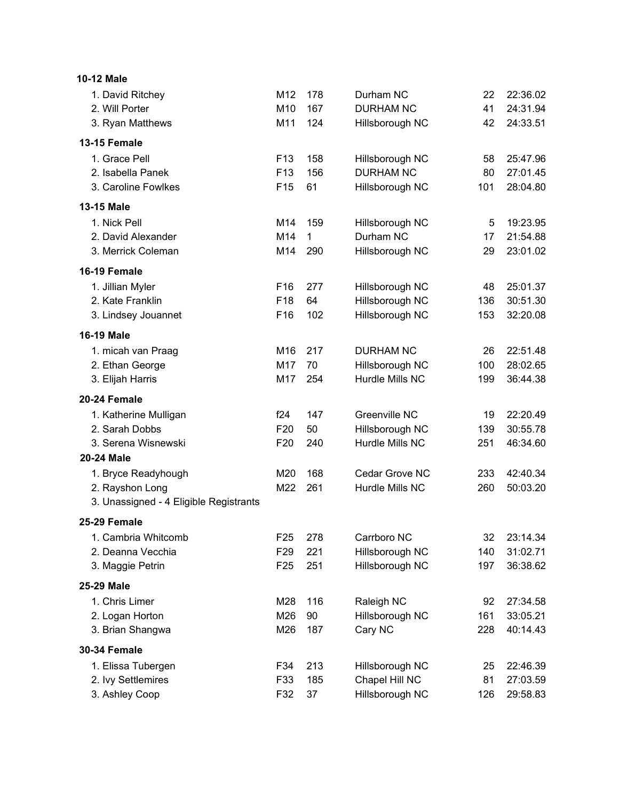| <b>10-12 Male</b>                      |                 |     |                  |     |          |
|----------------------------------------|-----------------|-----|------------------|-----|----------|
| 1. David Ritchey                       | M12             | 178 | Durham NC        | 22  | 22:36.02 |
| 2. Will Porter                         | M10             | 167 | <b>DURHAM NC</b> | 41  | 24:31.94 |
| 3. Ryan Matthews                       | M11             | 124 | Hillsborough NC  | 42  | 24:33.51 |
| <b>13-15 Female</b>                    |                 |     |                  |     |          |
| 1. Grace Pell                          | F <sub>13</sub> | 158 | Hillsborough NC  | 58  | 25:47.96 |
| 2. Isabella Panek                      | F <sub>13</sub> | 156 | <b>DURHAM NC</b> | 80  | 27:01.45 |
| 3. Caroline Fowlkes                    | F <sub>15</sub> | 61  | Hillsborough NC  | 101 | 28:04.80 |
| 13-15 Male                             |                 |     |                  |     |          |
| 1. Nick Pell                           | M14             | 159 | Hillsborough NC  | 5   | 19:23.95 |
| 2. David Alexander                     | M14             | 1   | Durham NC        | 17  | 21:54.88 |
| 3. Merrick Coleman                     | M14             | 290 | Hillsborough NC  | 29  | 23:01.02 |
| 16-19 Female                           |                 |     |                  |     |          |
| 1. Jillian Myler                       | F <sub>16</sub> | 277 | Hillsborough NC  | 48  | 25:01.37 |
| 2. Kate Franklin                       | F <sub>18</sub> | 64  | Hillsborough NC  | 136 | 30:51.30 |
| 3. Lindsey Jouannet                    | F16             | 102 | Hillsborough NC  | 153 | 32:20.08 |
| <b>16-19 Male</b>                      |                 |     |                  |     |          |
| 1. micah van Praag                     | M16             | 217 | <b>DURHAM NC</b> | 26  | 22:51.48 |
| 2. Ethan George                        | M17             | 70  | Hillsborough NC  | 100 | 28:02.65 |
| 3. Elijah Harris                       | M17             | 254 | Hurdle Mills NC  | 199 | 36:44.38 |
| 20-24 Female                           |                 |     |                  |     |          |
| 1. Katherine Mulligan                  | f24             | 147 | Greenville NC    | 19  | 22:20.49 |
| 2. Sarah Dobbs                         | F <sub>20</sub> | 50  | Hillsborough NC  | 139 | 30:55.78 |
| 3. Serena Wisnewski                    | F <sub>20</sub> | 240 | Hurdle Mills NC  | 251 | 46:34.60 |
| <b>20-24 Male</b>                      |                 |     |                  |     |          |
| 1. Bryce Readyhough                    | M20             | 168 | Cedar Grove NC   | 233 | 42:40.34 |
| 2. Rayshon Long                        | M22             | 261 | Hurdle Mills NC  | 260 | 50:03.20 |
| 3. Unassigned - 4 Eligible Registrants |                 |     |                  |     |          |
| 25-29 Female                           |                 |     |                  |     |          |
| 1. Cambria Whitcomb                    | F <sub>25</sub> | 278 | Carrboro NC      | 32  | 23:14.34 |
| 2. Deanna Vecchia                      | F <sub>29</sub> | 221 | Hillsborough NC  | 140 | 31:02.71 |
| 3. Maggie Petrin                       | F <sub>25</sub> | 251 | Hillsborough NC  | 197 | 36:38.62 |
| 25-29 Male                             |                 |     |                  |     |          |
| 1. Chris Limer                         | M28             | 116 | Raleigh NC       | 92  | 27:34.58 |
| 2. Logan Horton                        | M26             | 90  | Hillsborough NC  | 161 | 33:05.21 |
| 3. Brian Shangwa                       | M26             | 187 | Cary NC          | 228 | 40:14.43 |
| <b>30-34 Female</b>                    |                 |     |                  |     |          |
| 1. Elissa Tubergen                     | F34             | 213 | Hillsborough NC  | 25  | 22:46.39 |
| 2. Ivy Settlemires                     | F33             | 185 | Chapel Hill NC   | 81  | 27:03.59 |
| 3. Ashley Coop                         | F32             | 37  | Hillsborough NC  | 126 | 29:58.83 |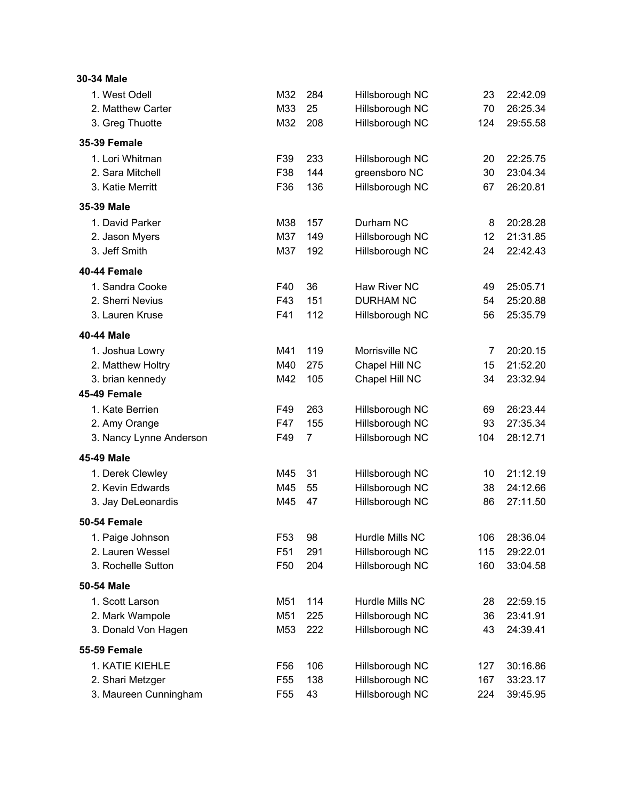| 30-34 Male              |                 |                |                  |     |          |
|-------------------------|-----------------|----------------|------------------|-----|----------|
| 1. West Odell           | M32             | 284            | Hillsborough NC  | 23  | 22:42.09 |
| 2. Matthew Carter       | M33             | 25             | Hillsborough NC  | 70  | 26:25.34 |
| 3. Greg Thuotte         | M32             | 208            | Hillsborough NC  | 124 | 29:55.58 |
| <b>35-39 Female</b>     |                 |                |                  |     |          |
| 1. Lori Whitman         | F39             | 233            | Hillsborough NC  | 20  | 22:25.75 |
| 2. Sara Mitchell        | F38             | 144            | greensboro NC    | 30  | 23:04.34 |
| 3. Katie Merritt        | F36             | 136            | Hillsborough NC  | 67  | 26:20.81 |
| 35-39 Male              |                 |                |                  |     |          |
| 1. David Parker         | M38             | 157            | Durham NC        | 8   | 20:28.28 |
| 2. Jason Myers          | M37             | 149            | Hillsborough NC  | 12  | 21:31.85 |
| 3. Jeff Smith           | M37             | 192            | Hillsborough NC  | 24  | 22:42.43 |
| 40-44 Female            |                 |                |                  |     |          |
| 1. Sandra Cooke         | F40             | 36             | Haw River NC     | 49  | 25:05.71 |
| 2. Sherri Nevius        | F43             | 151            | <b>DURHAM NC</b> | 54  | 25:20.88 |
| 3. Lauren Kruse         | F41             | 112            | Hillsborough NC  | 56  | 25:35.79 |
| 40-44 Male              |                 |                |                  |     |          |
| 1. Joshua Lowry         | M41             | 119            | Morrisville NC   | 7   | 20:20.15 |
| 2. Matthew Holtry       | M40             | 275            | Chapel Hill NC   | 15  | 21:52.20 |
| 3. brian kennedy        | M42             | 105            | Chapel Hill NC   | 34  | 23:32.94 |
| 45-49 Female            |                 |                |                  |     |          |
| 1. Kate Berrien         | F49             | 263            | Hillsborough NC  | 69  | 26:23.44 |
| 2. Amy Orange           | F47             | 155            | Hillsborough NC  | 93  | 27:35.34 |
| 3. Nancy Lynne Anderson | F49             | $\overline{7}$ | Hillsborough NC  | 104 | 28:12.71 |
| 45-49 Male              |                 |                |                  |     |          |
| 1. Derek Clewley        | M45             | 31             | Hillsborough NC  | 10  | 21:12.19 |
| 2. Kevin Edwards        | M45             | 55             | Hillsborough NC  | 38  | 24:12.66 |
| 3. Jay DeLeonardis      | M45             | 47             | Hillsborough NC  | 86  | 27:11.50 |
| 50-54 Female            |                 |                |                  |     |          |
| 1. Paige Johnson        | F <sub>53</sub> | 98             | Hurdle Mills NC  | 106 | 28:36.04 |
| 2. Lauren Wessel        | F <sub>51</sub> | 291            | Hillsborough NC  | 115 | 29:22.01 |
| 3. Rochelle Sutton      | F <sub>50</sub> | 204            | Hillsborough NC  | 160 | 33:04.58 |
| 50-54 Male              |                 |                |                  |     |          |
| 1. Scott Larson         | M51             | 114            | Hurdle Mills NC  | 28  | 22:59.15 |
| 2. Mark Wampole         | M51             | 225            | Hillsborough NC  | 36  | 23:41.91 |
| 3. Donald Von Hagen     | M53             | 222            | Hillsborough NC  | 43  | 24:39.41 |
| <b>55-59 Female</b>     |                 |                |                  |     |          |
| 1. KATIE KIEHLE         | F <sub>56</sub> | 106            | Hillsborough NC  | 127 | 30:16.86 |
| 2. Shari Metzger        | F <sub>55</sub> | 138            | Hillsborough NC  | 167 | 33:23.17 |
| 3. Maureen Cunningham   | F <sub>55</sub> | 43             | Hillsborough NC  | 224 | 39:45.95 |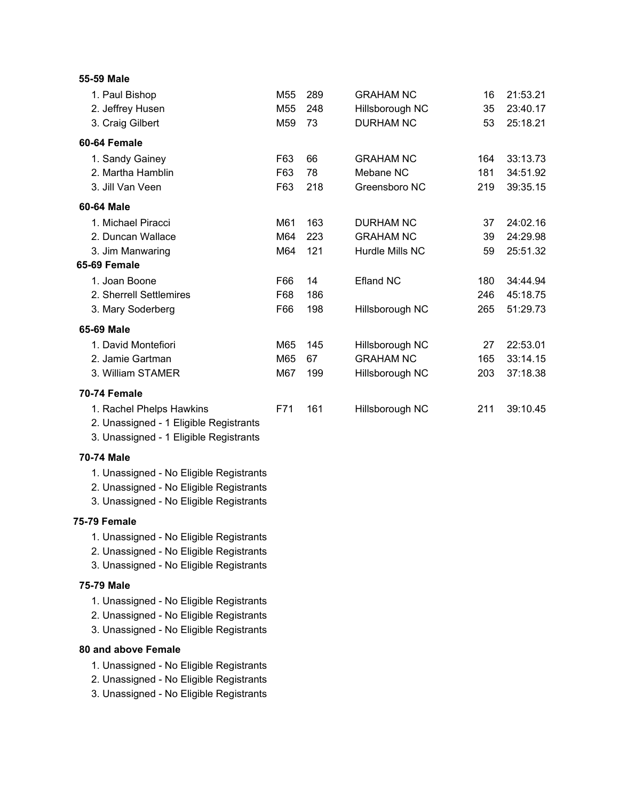| 55-59 Male                              |                 |     |                  |     |          |
|-----------------------------------------|-----------------|-----|------------------|-----|----------|
| 1. Paul Bishop                          | M55             | 289 | <b>GRAHAM NC</b> | 16  | 21:53.21 |
| 2. Jeffrey Husen                        | M <sub>55</sub> | 248 | Hillsborough NC  | 35  | 23:40.17 |
| 3. Craig Gilbert                        | M59             | 73  | <b>DURHAM NC</b> | 53  | 25:18.21 |
| 60-64 Female                            |                 |     |                  |     |          |
| 1. Sandy Gainey                         | F63             | 66  | <b>GRAHAM NC</b> | 164 | 33:13.73 |
| 2. Martha Hamblin                       | F63             | 78  | Mebane NC        | 181 | 34:51.92 |
| 3. Jill Van Veen                        | F63             | 218 | Greensboro NC    | 219 | 39:35.15 |
| 60-64 Male                              |                 |     |                  |     |          |
| 1. Michael Piracci                      | M61             | 163 | <b>DURHAM NC</b> | 37  | 24:02.16 |
| 2. Duncan Wallace                       | M64             | 223 | <b>GRAHAM NC</b> | 39  | 24:29.98 |
| 3. Jim Manwaring                        | M64             | 121 | Hurdle Mills NC  | 59  | 25:51.32 |
| 65-69 Female                            |                 |     |                  |     |          |
| 1. Joan Boone                           | F66             | 14  | <b>Efland NC</b> | 180 | 34:44.94 |
| 2. Sherrell Settlemires                 | F68             | 186 |                  | 246 | 45:18.75 |
| 3. Mary Soderberg                       | F66             | 198 | Hillsborough NC  | 265 | 51:29.73 |
| 65-69 Male                              |                 |     |                  |     |          |
| 1. David Montefiori                     | M65             | 145 | Hillsborough NC  | 27  | 22:53.01 |
| 2. Jamie Gartman                        | M65             | 67  | <b>GRAHAM NC</b> | 165 | 33:14.15 |
| 3. William STAMER                       | M67             | 199 | Hillsborough NC  | 203 | 37:18.38 |
| 70-74 Female                            |                 |     |                  |     |          |
| 1. Rachel Phelps Hawkins                | F71             | 161 | Hillsborough NC  | 211 | 39:10.45 |
| 2. Unassigned - 1 Eligible Registrants  |                 |     |                  |     |          |
| 3. Unassigned - 1 Eligible Registrants  |                 |     |                  |     |          |
| <b>70-74 Male</b>                       |                 |     |                  |     |          |
| 1. Unassigned - No Eligible Registrants |                 |     |                  |     |          |
| 2. Unassigned - No Eligible Registrants |                 |     |                  |     |          |
| 3. Unassigned - No Eligible Registrants |                 |     |                  |     |          |
| <b>75-79 Female</b>                     |                 |     |                  |     |          |
| 1. Unassigned - No Eligible Registrants |                 |     |                  |     |          |
| 2. Unassigned - No Eligible Registrants |                 |     |                  |     |          |
| 3. Unassigned - No Eligible Registrants |                 |     |                  |     |          |
| <b>75-79 Male</b>                       |                 |     |                  |     |          |
| 1. Unassigned - No Eligible Registrants |                 |     |                  |     |          |
| 2. Unassigned - No Eligible Registrants |                 |     |                  |     |          |
| 3. Unassigned - No Eligible Registrants |                 |     |                  |     |          |
| <b>80 and above Female</b>              |                 |     |                  |     |          |
| 1. Unassigned - No Eligible Registrants |                 |     |                  |     |          |
| 2. Unassigned - No Eligible Registrants |                 |     |                  |     |          |
| 3. Unassigned - No Eligible Registrants |                 |     |                  |     |          |